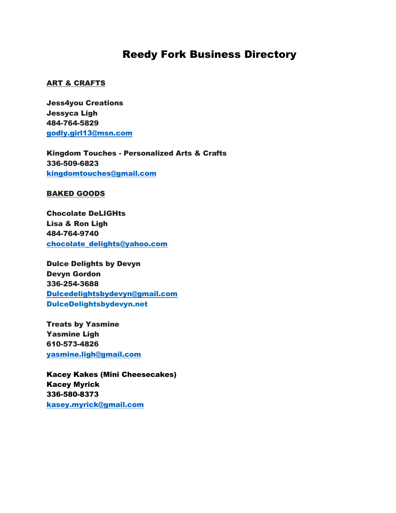# Reedy Fork Business Directory

# ART & CRAFTS

Jess4you Creations Jessyca Ligh 484-764-5829 [godly.girl13@msn.com](mailto:godly.girl13@msn.com)

Kingdom Touches - Personalized Arts & Crafts 336-509-6823 [kingdomtouches@gmail.com](mailto:kingdomtouches@gmail.com)

## BAKED GOODS

Chocolate DeLIGHts Lisa & Ron Ligh 484-764-9740 [chocolate\\_delights@yahoo.com](mailto:chocolate_delights@yahoo.com)

Dulce Delights by Devyn Devyn Gordon 336-254-3688 [Dulcedelightsbydevyn@gmail.com](mailto:Dulcedelightsbydevyn@gmail.com) DulceDelightsbydevyn.net

Treats by Yasmine Yasmine Ligh 610-573-4826 [yasmine.ligh@gmail.com](mailto:yasmine.ligh@gmail.com)

Kacey Kakes (Mini Cheesecakes) Kacey Myrick 336-580-8373 kasey.myrick@gmail.com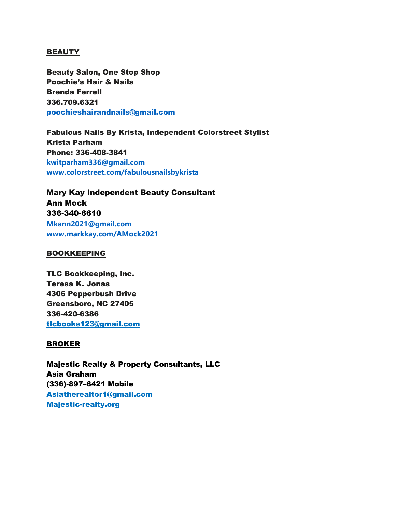# BEAUTY

Beauty Salon, One Stop Shop Poochie's Hair & Nails Brenda Ferrell 336.709.6321 [poochieshairandnails@gmail.com](mailto:poochieshairandnails@gmail.com)

Fabulous Nails By Krista, Independent Colorstreet Stylist Krista Parham Phone: 336-408-3841 **[kwitparham336@gmail.com](mailto:kwitparham336@gmail.com) [www.colorstreet.com/fabulousnailsbykrista](http://www.colorstreet.com/fabulousnailsbykrista)**

Mary Kay Independent Beauty Consultant Ann Mock 336-340-6610 **[Mkann2021@gmail.com](mailto:Mkann2021@gmail.com) www.markkay.com/AMock2021**

## BOOKKEEPING

TLC Bookkeeping, Inc. Teresa K. Jonas 4306 Pepperbush Drive Greensboro, NC 27405 336-420-6386 [tlcbooks123@gmail.com](mailto:tlcbooks123@gmail.com)

## BROKER

Majestic Realty & Property Consultants, LLC Asia Graham (336)-897–6421 Mobile Asiatherealtor1@gmail.com Majestic-realty.org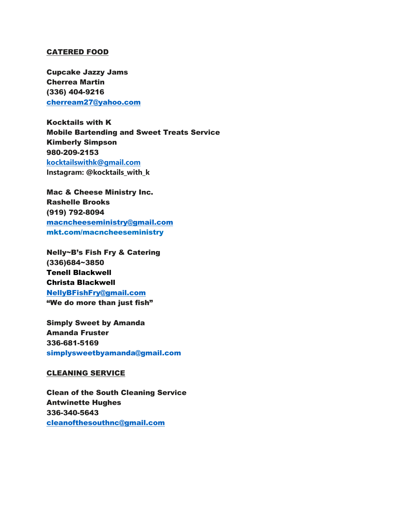## CATERED FOOD

Cupcake Jazzy Jams Cherrea Martin (336) 404-9216 [cherream27@yahoo.com](mailto:cherream27@yahoo.com)

Kocktails with K Mobile Bartending and Sweet Treats Service Kimberly Simpson 980-209-2153 **[kocktailswithk@gmail.com](mailto:kocktailswithk@gmail.com) Instagram: @kocktails\_with\_k**

Mac & Cheese Ministry Inc. Rashelle Brooks (919) 792-8094 [macncheeseministry@gmail.com](mailto:macncheeseministry@gmail.com) mkt.com/macncheeseministry

Nelly~B's Fish Fry & Catering (336)684~3850 Tenell Blackwell Christa Blackwell [NellyBFishFry@gmail.com](mailto:NellyBFishFry@gmail.com) "We do more than just fish"

Simply Sweet by Amanda Amanda Fruster 336-681-5169 [simplysweetbyamanda@gmail.com](mailto:simplysweetbyamanda@gmail.com)

#### CLEANING SERVICE

Clean of the South Cleaning Service Antwinette Hughes 336-340-5643 [cleanofthesouthnc@gmail.com](mailto:cleanofthesouthnc@gmail.com)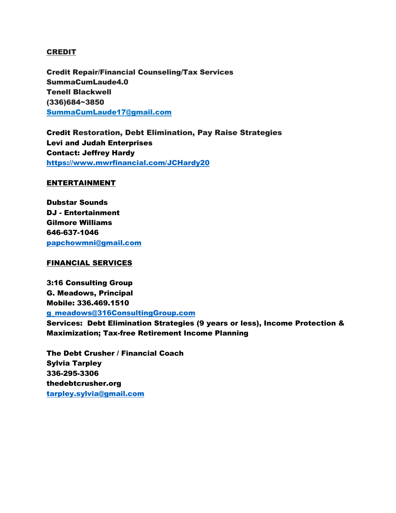# CREDIT

Credit Repair/Financial Counseling/Tax Services SummaCumLaude4.0 Tenell Blackwell (336)684~3850 [SummaCumLaude17@gmail.com](mailto:SummaCumLaude17@gmail.com)

Credit Restoration, Debt Elimination, Pay Raise Strategies Levi and Judah Enterprises Contact: Jeffrey Hardy <https://www.mwrfinancial.com/JCHardy20>

## ENTERTAINMENT

Dubstar Sounds DJ - Entertainment Gilmore Williams 646-637-1046 [papchowmni@gmail.com](mailto:papchowmni@gmail.com)

#### FINANCIAL SERVICES

3:16 Consulting Group G. Meadows, Principal Mobile: 336.469.1510 [g\\_meadows@316ConsultingGroup.com](mailto:g_meadows@316ConsultingGroup.com)

Services: Debt Elimination Strategies (9 years or less), Income Protection & Maximization; Tax-free Retirement Income Planning

The Debt Crusher / Financial Coach Sylvia Tarpley 336-295-3306 thedebtcrusher.org [tarpley.sylvia@gmail.com](mailto:tarpley.sylvia@gmail.com)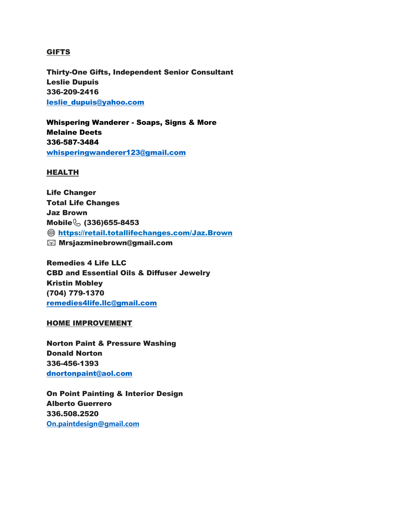# GIFTS

Thirty-One Gifts, Independent Senior Consultant Leslie Dupuis 336-209-2416 [leslie\\_dupuis@yahoo.com](mailto:leslie_dupuis@yahoo.com)

Whispering Wanderer - Soaps, Signs & More Melaine Deets 336-587-3484 [whisperingwanderer123@gmail.com](mailto:whisperingwanderer123@gmail.com)

## HEALTH

Life Changer Total Life Changes Jaz Brown Mobile (336) 655-8453 <https://retail.totallifechanges.com/Jaz.Brown> Mrsjazminebrown@gmail.com

Remedies 4 Life LLC CBD and Essential Oils & Diffuser Jewelry Kristin Mobley (704) 779-1370 [remedies4life.llc@gmail.com](mailto:remedies4life.llc@gmail.com)

#### HOME IMPROVEMENT

Norton Paint & Pressure Washing Donald Norton 336-456-1393 [dnortonpaint@aol.com](mailto:dnortonpaint@aol.com)

On Point Painting & Interior Design Alberto Guerrero 336.508.2520 **[On.paintdesign@gmail.com](mailto:On.paintdesign@gmail.com)**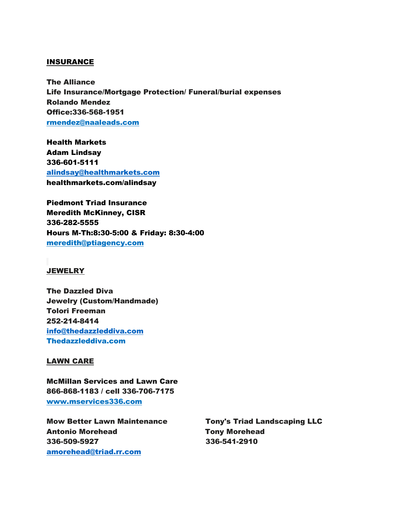#### INSURANCE

The Alliance Life Insurance/Mortgage Protection/ Funeral/burial expenses Rolando Mendez Office:336-568-1951 [rmendez@naaleads.com](mailto:rmendez@naaleads.com)

Health Markets Adam Lindsay 336-601-5111 [alindsay@healthmarkets.com](mailto:alindsay@healthmarkets.com) healthmarkets.com/alindsay

Piedmont Triad Insurance Meredith McKinney, CISR 336-282-5555 Hours M-Th:8:30-5:00 & Friday: 8:30-4:00 [meredith@ptiagency.com](mailto:meredith@ptiagency.com)

#### **JEWELRY**

The Dazzled Diva Jewelry (Custom/Handmade) Tolori Freeman 252-214-8414 [info@thedazzleddiva.com](mailto:info@thedazzleddiva.com) Thedazzleddiva.com

#### LAWN CARE

McMillan Services and Lawn Care 866-868-1183 / cell 336-706-7175 [www.mservices336.com](http://www.mservices336.com/)

Mow Better Lawn Maintenance Tony's Triad Landscaping LLC Antonio Morehead **Tony Morehead** 336-509-5927 336-541-2910 [amorehead@triad.rr.com](mailto:amorehead@triad.rr.com)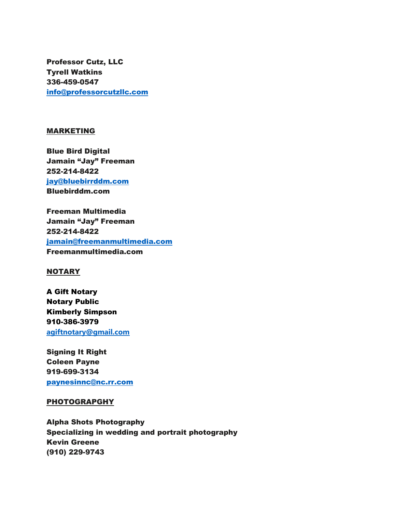Professor Cutz, LLC Tyrell Watkins 336-459-0547 [info@professorcutzllc.com](mailto:info@professorcutzllc.com)

## MARKETING

Blue Bird Digital Jamain "Jay" Freeman 252-214-8422 [jay@bluebirrddm.com](mailto:jay@bluebirrddm.com) Bluebirddm.com

Freeman Multimedia Jamain "Jay" Freeman 252-214-8422 [jamain@freemanmultimedia.com](mailto:jamain@freemanmultimedia.com) Freemanmultimedia.com

# **NOTARY**

A Gift Notary Notary Public Kimberly Simpson 910-386-3979 **[agiftnotary@gmail.com](mailto:agiftnotary@gmail.com)**

Signing It Right Coleen Payne 919-699-3134 [paynesinnc@nc.rr.com](mailto:paynesinnc@nc.rr.com)

#### **PHOTOGRAPGHY**

Alpha Shots Photography Specializing in wedding and portrait photography Kevin Greene (910) 229-9743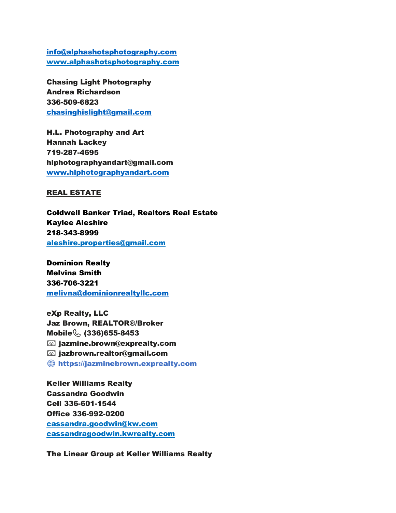[info@alphashotsphotography.com](mailto:info@alphashotsphotography.com) [www.alphashotsphotography.com](http://www.alphashotsphotography.com/)

Chasing Light Photography Andrea Richardson 336-509-6823 [chasinghislight@gmail.com](mailto:chasinghislight@gmail.com)

H.L. Photography and Art Hannah Lackey 719-287-4695 hlphotographyandart@gmail.com [www.hlphotographyandart.com](http://www.hlphotographyandart.com/)

## REAL ESTATE

Coldwell Banker Triad, Realtors Real Estate Kaylee Aleshire 218-343-8999 [aleshire.properties@gmail.com](mailto:aleshire.properties@gmail.com)

Dominion Realty Melvina Smith 336-706-3221 [melivna@dominionrealtyllc.com](mailto:melivna@dominionrealtyllc.com)

eXp Realty, LLC Jaz Brown, REALTOR®/Broker Mobile (336) 655-8453 jazmine.brown@exprealty.com jazbrown.realtor@gmail.com [https://jazminebrown.exprealty.com](https://jazminebrown.exprealty.com/)

Keller Williams Realty Cassandra Goodwin Cell 336-601-1544 Office 336-992-0200 [cassandra.goodwin@kw.com](mailto:cassandra.goodwin@kw.com) cassandragoodwin.kwrealty.com

The Linear Group at Keller Williams Realty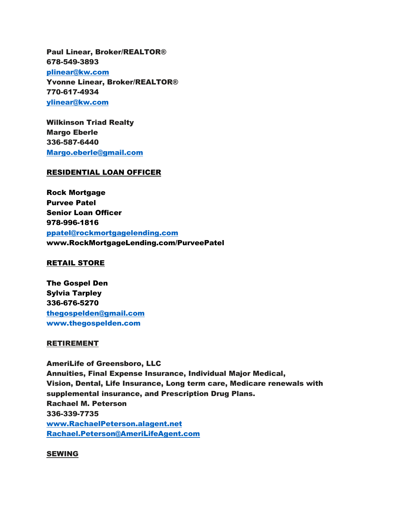Paul Linear, Broker/REALTOR® 678-549-3893 [plinear@kw.com](mailto:plinear@kw.com) Yvonne Linear, Broker/REALTOR® 770-617-4934 [ylinear@kw.com](mailto:ylinear@kw.com)

Wilkinson Triad Realty Margo Eberle 336-587-6440 [Margo.eberle@gmail.com](mailto:Margo.eberle@gmail.com)

#### RESIDENTIAL LOAN OFFICER

Rock Mortgage Purvee Patel Senior Loan Officer 978-996-1816 [ppatel@rockmortgagelending.com](mailto:ppatel@rockmortgagelending.com) www.RockMortgageLending.com/PurveePatel

#### RETAIL STORE

The Gospel Den Sylvia Tarpley 336-676-5270 [thegospelden@gmail.com](mailto:thegospelden@gmail.com) [www.thegospelden.com](http://www.thegospelden.com/)

#### RETIREMENT

AmeriLife of Greensboro, LLC Annuities, Final Expense Insurance, Individual Major Medical, Vision, Dental, Life Insurance, Long term care, Medicare renewals with supplemental insurance, and Prescription Drug Plans. Rachael M. Peterson 336-339-7735 [www.RachaelPeterson.alagent.net](http://www.rachaelpeterson.alagent.net/) [Rachael.Peterson@AmeriLifeAgent.com](mailto:Rachael.Peterson@AmeriLifeAgent.com)

#### SEWING